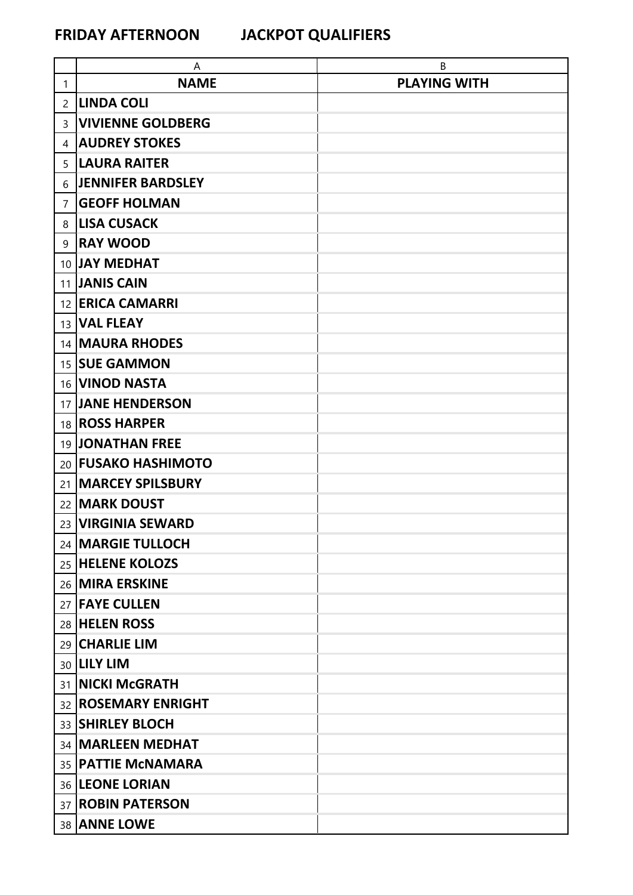|                | A                          | В                   |
|----------------|----------------------------|---------------------|
| 1              | <b>NAME</b>                | <b>PLAYING WITH</b> |
| $\overline{2}$ | LINDA COLI                 |                     |
| 3              | <b>VIVIENNE GOLDBERG</b>   |                     |
| 4              | <b>AUDREY STOKES</b>       |                     |
| 5              | <b>LAURA RAITER</b>        |                     |
| 6              | <b>JENNIFER BARDSLEY</b>   |                     |
| $\overline{7}$ | <b>GEOFF HOLMAN</b>        |                     |
| 8              | <b>LISA CUSACK</b>         |                     |
| 9              | <b>RAY WOOD</b>            |                     |
|                | 10 JAY MEDHAT              |                     |
|                | 11 JANIS CAIN              |                     |
|                | 12 ERICA CAMARRI           |                     |
|                | 13 VAL FLEAY               |                     |
|                | 14 MAURA RHODES            |                     |
|                | 15 SUE GAMMON              |                     |
|                | 16 <b>VINOD NASTA</b>      |                     |
|                | 17 JANE HENDERSON          |                     |
|                | 18 <b>ROSS HARPER</b>      |                     |
|                | 19 JONATHAN FREE           |                     |
|                | 20 <b>FUSAKO HASHIMOTO</b> |                     |
|                | 21   MARCEY SPILSBURY      |                     |
|                | 22   MARK DOUST            |                     |
|                | 23 VIRGINIA SEWARD         |                     |
|                | 24   MARGIE TULLOCH        |                     |
|                | 25 HELENE KOLOZS           |                     |
|                | 26 MIRA ERSKINE            |                     |
|                | 27 <b>FAYE CULLEN</b>      |                     |
|                | 28 HELEN ROSS              |                     |
|                | 29 CHARLIE LIM             |                     |
|                | 30 <b>LILY LIM</b>         |                     |
|                | 31   NICKI McGRATH         |                     |
|                | 32 <b>ROSEMARY ENRIGHT</b> |                     |
|                | 33 SHIRLEY BLOCH           |                     |
|                | 34   MARLEEN MEDHAT        |                     |
|                | 35   PATTIE MCNAMARA       |                     |
|                | 36 LEONE LORIAN            |                     |
|                | 37 <b>ROBIN PATERSON</b>   |                     |
|                | 38 ANNE LOWE               |                     |